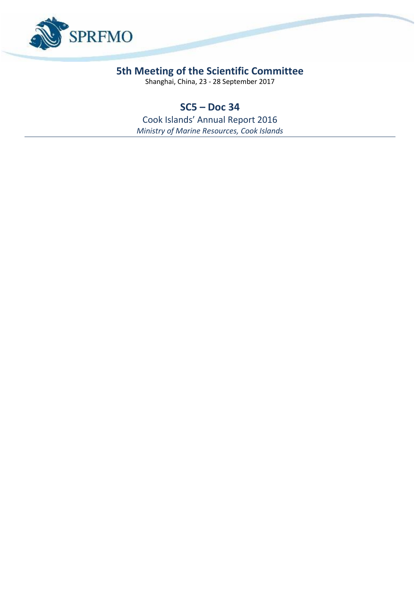

## **5th Meeting of the Scientific Committee**

Shanghai, China, 23 - 28 September 2017

## **SC5 – Doc 34**

Cook Islands' Annual Report 2016 *Ministry of Marine Resources, Cook Islands*